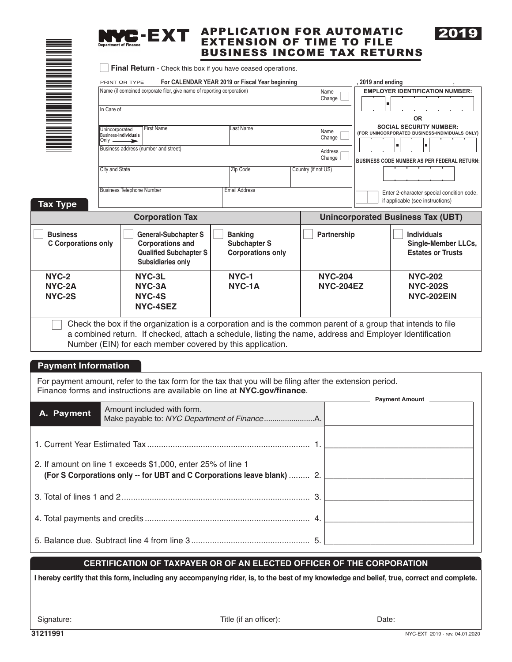| È        |          |  |
|----------|----------|--|
|          |          |  |
|          |          |  |
|          | $\equiv$ |  |
|          |          |  |
|          |          |  |
| Ē        |          |  |
|          |          |  |
|          |          |  |
|          |          |  |
|          |          |  |
|          |          |  |
|          | $\equiv$ |  |
|          |          |  |
|          |          |  |
|          |          |  |
|          | ▆▅       |  |
|          |          |  |
|          |          |  |
|          |          |  |
|          |          |  |
|          | $\equiv$ |  |
|          |          |  |
|          |          |  |
|          |          |  |
|          |          |  |
|          |          |  |
|          |          |  |
| $\equiv$ |          |  |
|          |          |  |
|          |          |  |
|          |          |  |
|          |          |  |
|          |          |  |
|          |          |  |
|          |          |  |
|          |          |  |

n **Business** 



#### APPLICATION FOR AUTOMATIC EXTENSION OF TIME TO FILE BUSINESS INCOME TAX RETURNS



| Name (if combined corporate filer, give name of reporting corporation)<br>In Care of<br><b>First Name</b><br>Unincorporated<br>Business-Individuals<br>Only $-$<br>➤<br>Business address (number and street)<br>City and State<br><b>Business Telephone Number</b><br><b>Tax Type</b><br><b>Corporation Tax</b><br><b>Business</b><br><b>General-Subchapter S</b><br><b>C</b> Corporations only<br><b>Corporations and</b> | Last Name<br>Zip Code<br><b>Email Address</b><br><b>Banking</b> | Name<br>Change<br>Name<br>Change<br>Address<br>Change<br>Country (if not US)<br>Partnership | 2019 and ending | <b>EMPLOYER IDENTIFICATION NUMBER:</b><br><b>OR</b><br><b>SOCIAL SECURITY NUMBER:</b><br>(FOR UNINCORPORATED BUSINESS-INDIVIDUALS ONLY)<br><b>BUSINESS CODE NUMBER AS PER FEDERAL RETURN:</b><br>Enter 2-character special condition code,<br>if applicable (see instructions)<br><b>Unincorporated Business Tax (UBT)</b> |
|----------------------------------------------------------------------------------------------------------------------------------------------------------------------------------------------------------------------------------------------------------------------------------------------------------------------------------------------------------------------------------------------------------------------------|-----------------------------------------------------------------|---------------------------------------------------------------------------------------------|-----------------|----------------------------------------------------------------------------------------------------------------------------------------------------------------------------------------------------------------------------------------------------------------------------------------------------------------------------|
|                                                                                                                                                                                                                                                                                                                                                                                                                            |                                                                 |                                                                                             |                 |                                                                                                                                                                                                                                                                                                                            |
|                                                                                                                                                                                                                                                                                                                                                                                                                            |                                                                 |                                                                                             |                 |                                                                                                                                                                                                                                                                                                                            |
|                                                                                                                                                                                                                                                                                                                                                                                                                            |                                                                 |                                                                                             |                 |                                                                                                                                                                                                                                                                                                                            |
|                                                                                                                                                                                                                                                                                                                                                                                                                            |                                                                 |                                                                                             |                 |                                                                                                                                                                                                                                                                                                                            |
|                                                                                                                                                                                                                                                                                                                                                                                                                            |                                                                 |                                                                                             |                 |                                                                                                                                                                                                                                                                                                                            |
|                                                                                                                                                                                                                                                                                                                                                                                                                            |                                                                 |                                                                                             |                 |                                                                                                                                                                                                                                                                                                                            |
|                                                                                                                                                                                                                                                                                                                                                                                                                            |                                                                 |                                                                                             |                 |                                                                                                                                                                                                                                                                                                                            |
|                                                                                                                                                                                                                                                                                                                                                                                                                            |                                                                 |                                                                                             |                 |                                                                                                                                                                                                                                                                                                                            |
| <b>Qualified Subchapter S</b><br><b>Subsidiaries only</b>                                                                                                                                                                                                                                                                                                                                                                  | <b>Subchapter S</b><br><b>Corporations only</b>                 |                                                                                             |                 | <b>Individuals</b><br><b>Single-Member LLCs,</b><br><b>Estates or Trusts</b>                                                                                                                                                                                                                                               |
| NYC-2<br>NYC-3L<br>NYC-2A<br>NYC-3A<br>NYC-2S<br>NYC-4S<br>NYC-4SEZ                                                                                                                                                                                                                                                                                                                                                        | NYC-1<br>NYC-1A                                                 | <b>NYC-204</b><br><b>NYC-204EZ</b>                                                          |                 | <b>NYC-202</b><br><b>NYC-202S</b><br>NYC-202EIN                                                                                                                                                                                                                                                                            |
| Check the box if the organization is a corporation and is the common parent of a group that intends to file<br>a combined return. If checked, attach a schedule, listing the name, address and Employer Identification<br>Number (EIN) for each member covered by this application.                                                                                                                                        |                                                                 |                                                                                             |                 |                                                                                                                                                                                                                                                                                                                            |
| <b>Payment Information</b>                                                                                                                                                                                                                                                                                                                                                                                                 |                                                                 |                                                                                             |                 |                                                                                                                                                                                                                                                                                                                            |
| For payment amount, refer to the tax form for the tax that you will be filing after the extension period.<br>Finance forms and instructions are available on line at NYC.gov/finance.                                                                                                                                                                                                                                      |                                                                 |                                                                                             |                 |                                                                                                                                                                                                                                                                                                                            |
| Amount included with form.<br>A. Payment                                                                                                                                                                                                                                                                                                                                                                                   |                                                                 |                                                                                             |                 | <b>Payment Amount</b>                                                                                                                                                                                                                                                                                                      |
| 2. If amount on line 1 exceeds \$1,000, enter 25% of line 1                                                                                                                                                                                                                                                                                                                                                                |                                                                 |                                                                                             |                 |                                                                                                                                                                                                                                                                                                                            |

| (For S Corporations only -- for UBT and C Corporations leave blank)  2. |  |
|-------------------------------------------------------------------------|--|
|                                                                         |  |
|                                                                         |  |
|                                                                         |  |

#### **CERTIFICATION OF TAXPAYER OR OF AN ELECTED OFFICER OF THE CORPORATION**

**I hereby certify that this form, including any accompanying rider, is, to the best of my knowledge and belief, true, correct and complete.** 

 $\frac{1}{\sqrt{2\pi}}$  ,  $\frac{1}{\sqrt{2\pi}}$  ,  $\frac{1}{\sqrt{2\pi}}$  ,  $\frac{1}{\sqrt{2\pi}}$  ,  $\frac{1}{\sqrt{2\pi}}$  ,  $\frac{1}{\sqrt{2\pi}}$  ,  $\frac{1}{\sqrt{2\pi}}$  ,  $\frac{1}{\sqrt{2\pi}}$  ,  $\frac{1}{\sqrt{2\pi}}$  ,  $\frac{1}{\sqrt{2\pi}}$  ,  $\frac{1}{\sqrt{2\pi}}$  ,  $\frac{1}{\sqrt{2\pi}}$  ,  $\frac{1}{\sqrt{2\pi}}$  , Signature: Date: Determined the United States of Title (if an officer): Date: Date:

2019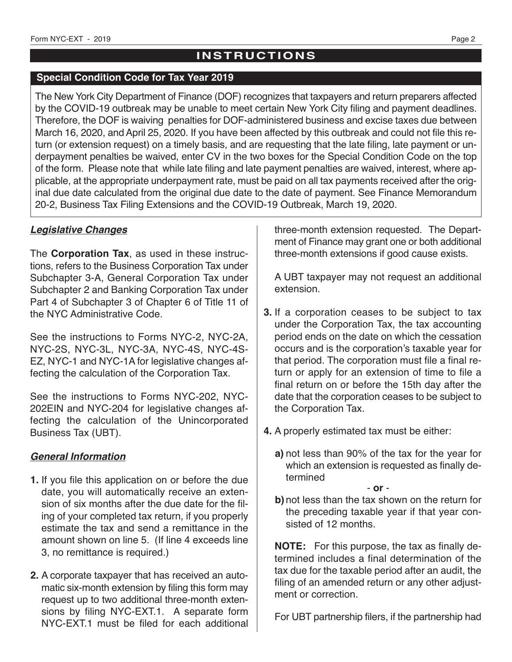# **INSTRUCTIONS**

#### **Special Condition Code for Tax Year 2019**

The New York City Department of Finance (DOF) recognizes that taxpayers and return preparers affected by the COVID-19 outbreak may be unable to meet certain New York City filing and payment deadlines. Therefore, the DOF is waiving penalties for DOF-administered business and excise taxes due between March 16, 2020, and April 25, 2020. If you have been affected by this outbreak and could not file this return (or extension request) on a timely basis, and are requesting that the late filing, late payment or underpayment penalties be waived, enter CV in the two boxes for the Special Condition Code on the top of the form. Please note that while late filing and late payment penalties are waived, interest, where applicable, at the appropriate underpayment rate, must be paid on all tax payments received after the original due date calculated from the original due date to the date of payment. See Finance Memorandum 20-2, Business Tax Filing Extensions and the COVID-19 Outbreak, March 19, 2020.

### *Legislative Changes*

The **Corporation Tax**, as used in these instructions, refers to the Business Corporation Tax under Subchapter 3-A, General Corporation Tax under Subchapter 2 and Banking Corporation Tax under Part 4 of Subchapter 3 of Chapter 6 of Title 11 of the NYC Administrative Code.

See the instructions to Forms NYC-2, NYC-2A, NYC-2S, NYC-3L, NYC-3A, NYC-4S, NYC-4S-EZ, NYC-1 and NYC-1A for legislative changes affecting the calculation of the Corporation Tax.

See the instructions to Forms NYC-202, NYC-202EIN and NYC-204 for legislative changes affecting the calculation of the Unincorporated Business Tax (UBT).

### *General Information*

- **1.** If you file this application on or before the due date, you will automatically receive an extension of six months after the due date for the filing of your completed tax return, if you properly estimate the tax and send a remittance in the amount shown on line 5. (If line 4 exceeds line 3, no remittance is required.)
- **2.** A corporate taxpayer that has received an automatic six-month extension by filing this form may request up to two additional three-month extensions by filing NYC-EXT.1. A separate form NYC-EXT.1 must be filed for each additional

three-month extension requested. The Department of Finance may grant one or both additional three-month extensions if good cause exists.

A UBT taxpayer may not request an additional extension.

- **3.** If a corporation ceases to be subject to tax under the Corporation Tax, the tax accounting period ends on the date on which the cessation occurs and is the corporation's taxable year for that period. The corporation must file a final return or apply for an extension of time to file a final return on or before the 15th day after the date that the corporation ceases to be subject to the Corporation Tax.
- **4.** A properly estimated tax must be either:
	- **a)** not less than 90% of the tax for the year for which an extension is requested as finally determined

- **or** -

**b)** not less than the tax shown on the return for the preceding taxable year if that year consisted of 12 months.

**NOTE:** For this purpose, the tax as finally determined includes a final determination of the tax due for the taxable period after an audit, the filing of an amended return or any other adjustment or correction.

For UBT partnership filers, if the partnership had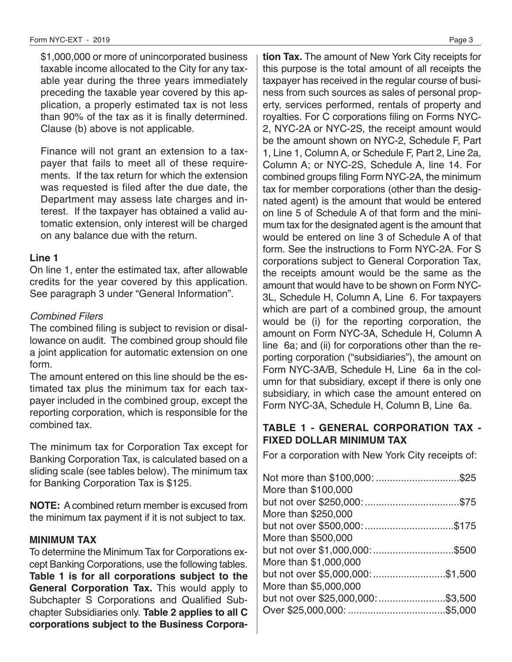\$1,000,000 or more of unincorporated business taxable income allocated to the City for any taxable year during the three years immediately preceding the taxable year covered by this application, a properly estimated tax is not less than 90% of the tax as it is finally determined. Clause (b) above is not applicable.

Finance will not grant an extension to a taxpayer that fails to meet all of these requirements. If the tax return for which the extension was requested is filed after the due date, the Department may assess late charges and interest. If the taxpayer has obtained a valid automatic extension, only interest will be charged on any balance due with the return.

### **Line 1**

On line 1, enter the estimated tax, after allowable credits for the year covered by this application. See paragraph 3 under "General Information".

#### Combined Filers

The combined filing is subject to revision or disallowance on audit. The combined group should file a joint application for automatic extension on one form.

The amount entered on this line should be the estimated tax plus the minimum tax for each taxpayer included in the combined group, except the reporting corporation, which is responsible for the combined tax.

The minimum tax for Corporation Tax except for Banking Corporation Tax, is calculated based on a sliding scale (see tables below). The minimum tax for Banking Corporation Tax is \$125.

**NOTE:** A combined return member is excused from the minimum tax payment if it is not subject to tax.

#### **MINIMUM TAX**

To determine the Minimum Tax for Corporations except Banking Corporations, use the following tables. **Table 1 is for all corporations subject to the General Corporation Tax.** This would apply to Subchapter S Corporations and Qualified Subchapter Subsidiaries only. **Table 2 applies to all C corporations subject to the Business Corpora-**

**tion Tax.** The amount of New York City receipts for this purpose is the total amount of all receipts the taxpayer has received in the regular course of business from such sources as sales of personal property, services performed, rentals of property and royalties. For C corporations filing on Forms NYC-2, NYC-2A or NYC-2S, the receipt amount would be the amount shown on NYC-2, Schedule F, Part 1, Line 1, Column A, or Schedule F, Part 2, Line 2a, Column A; or NYC-2S, Schedule A, line 14. For combined groups filing Form NYC-2A, the minimum tax for member corporations (other than the designated agent) is the amount that would be entered on line 5 of Schedule A of that form and the minimum tax for the designated agent is the amount that would be entered on line 3 of Schedule A of that form. See the instructions to Form NYC-2A. For S corporations subject to General Corporation Tax, the receipts amount would be the same as the amount that would have to be shown on Form NYC-3L, Schedule H, Column A, Line 6. For taxpayers which are part of a combined group, the amount would be (i) for the reporting corporation, the amount on Form NYC-3A, Schedule H, Column A line 6a; and (ii) for corporations other than the reporting corporation ("subsidiaries"), the amount on Form NYC-3A/B, Schedule H, Line 6a in the column for that subsidiary, except if there is only one subsidiary, in which case the amount entered on Form NYC-3A, Schedule H, Column B, Line 6a.

### **TABLE 1 - GENERAL CORPORATION TAX - FIXED DOLLAR MINIMUM TAX**

For a corporation with New York City receipts of:

| More than \$100,000   |  |
|-----------------------|--|
|                       |  |
| More than \$250,000   |  |
|                       |  |
| More than \$500,000   |  |
|                       |  |
| More than \$1,000,000 |  |
|                       |  |
| More than \$5,000,000 |  |
|                       |  |
|                       |  |